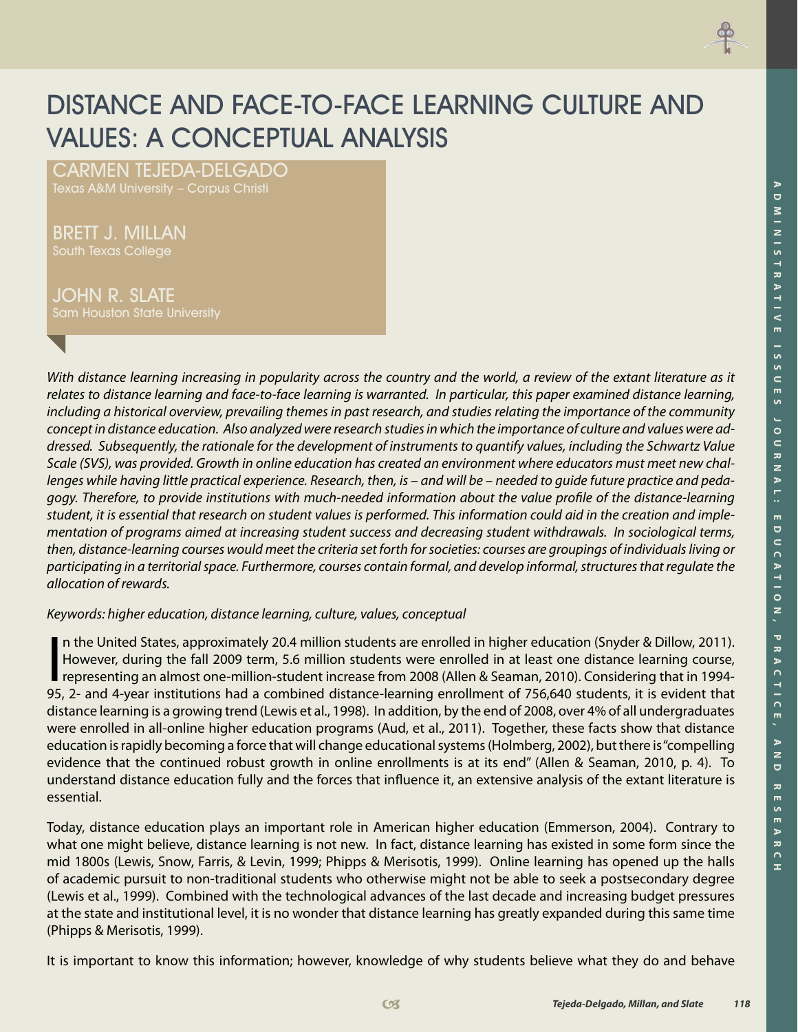

# DISTANCE AND FACE-TO-FACE LEARNING CULTURE AND VALUES: A CONCEPTUAL ANALYSIS

Carmen Tejeda-Delgado Texas A&M University – Corpus Christi

Brett J. MilLan South Texas College

JOHN R. SLATE Sam Houston State University

*With distance learning increasing in popularity across the country and the world, a review of the extant literature as it relates to distance learning and face-to-face learning is warranted. In particular, this paper examined distance learning, including a historical overview, prevailing themes in past research, and studies relating the importance of the community concept in distance education. Also analyzed were research studies in which the importance of culture and values were addressed. Subsequently, the rationale for the development of instruments to quantify values, including the Schwartz Value Scale (SVS), was provided. Growth in online education has created an environment where educators must meet new challenges while having little practical experience. Research, then, is – and will be – needed to guide future practice and pedagogy. Therefore, to provide institutions with much-needed information about the value profile of the distance-learning student, it is essential that research on student values is performed. This information could aid in the creation and implementation of programs aimed at increasing student success and decreasing student withdrawals. In sociological terms, then, distance-learning courses would meet the criteria set forth for societies: courses are groupings of individuals living or participating in a territorial space. Furthermore, courses contain formal, and develop informal, structures that regulate the allocation of rewards.* 

*Keywords: higher education, distance learning, culture, values, conceptual*

In the United States, approximately 20.4 million students are enrolled in higher education (Snyder & Dillow, 2011).<br>However, during the fall 2009 term, 5.6 million students were enrolled in at least one distance learning c n the United States, approximately 20.4 million students are enrolled in higher education (Snyder & Dillow, 2011). However, during the fall 2009 term, 5.6 million students were enrolled in at least one distance learning course, representing an almost one-million-student increase from 2008 (Allen & Seaman, 2010). Considering that in 1994 distance learning is a growing trend (Lewis et al., 1998). In addition, by the end of 2008, over 4% of all undergraduates were enrolled in all-online higher education programs (Aud, et al., 2011). Together, these facts show that distance education is rapidly becoming a force that will change educational systems (Holmberg, 2002), but there is "compelling evidence that the continued robust growth in online enrollments is at its end" (Allen & Seaman, 2010, p. 4). To understand distance education fully and the forces that influence it, an extensive analysis of the extant literature is essential.

Today, distance education plays an important role in American higher education (Emmerson, 2004). Contrary to what one might believe, distance learning is not new. In fact, distance learning has existed in some form since the mid 1800s (Lewis, Snow, Farris, & Levin, 1999; Phipps & Merisotis, 1999). Online learning has opened up the halls of academic pursuit to non-traditional students who otherwise might not be able to seek a postsecondary degree (Lewis et al., 1999). Combined with the technological advances of the last decade and increasing budget pressures at the state and institutional level, it is no wonder that distance learning has greatly expanded during this same time (Phipps & Merisotis, 1999).

It is important to know this information; however, knowledge of why students believe what they do and behave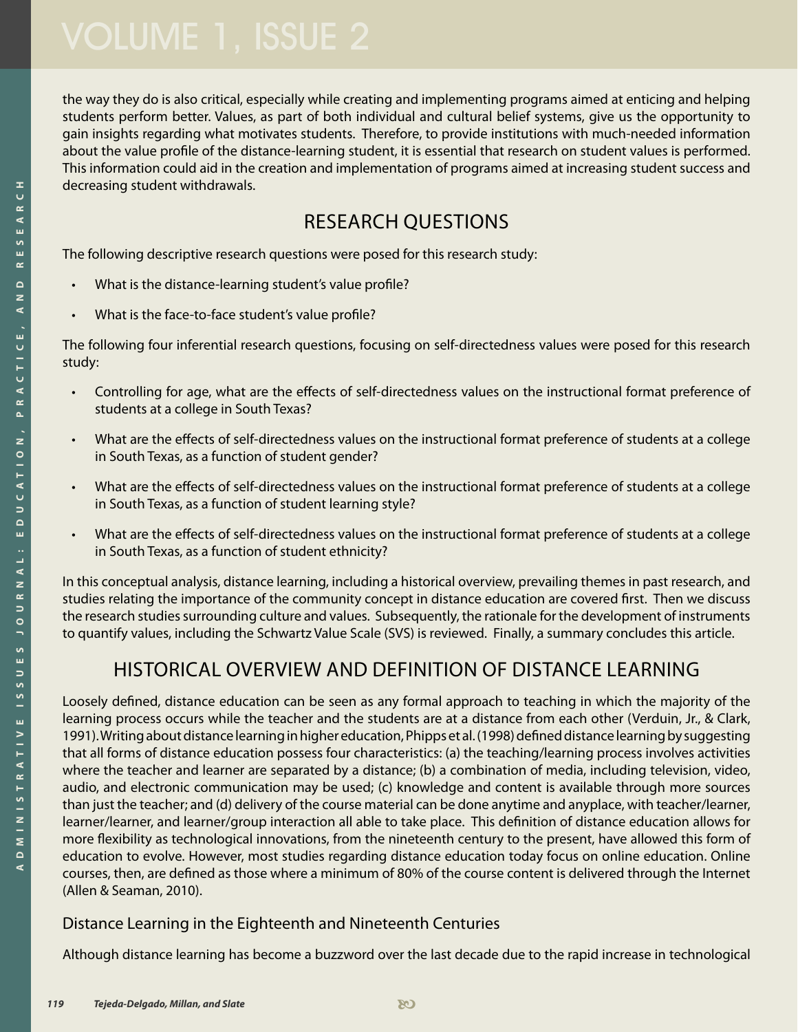the way they do is also critical, especially while creating and implementing programs aimed at enticing and helping students perform better. Values, as part of both individual and cultural belief systems, give us the opportunity to gain insights regarding what motivates students. Therefore, to provide institutions with much-needed information about the value profile of the distance-learning student, it is essential that research on student values is performed. This information could aid in the creation and implementation of programs aimed at increasing student success and decreasing student withdrawals.

## Research Questions

The following descriptive research questions were posed for this research study:

- What is the distance-learning student's value profile?
- What is the face-to-face student's value profile?

The following four inferential research questions, focusing on self-directedness values were posed for this research study:

- Controlling for age, what are the effects of self-directedness values on the instructional format preference of students at a college in South Texas?
- What are the effects of self-directedness values on the instructional format preference of students at a college in South Texas, as a function of student gender?
- What are the effects of self-directedness values on the instructional format preference of students at a college in South Texas, as a function of student learning style?
- What are the effects of self-directedness values on the instructional format preference of students at a college in South Texas, as a function of student ethnicity?

In this conceptual analysis, distance learning, including a historical overview, prevailing themes in past research, and studies relating the importance of the community concept in distance education are covered first. Then we discuss the research studies surrounding culture and values. Subsequently, the rationale for the development of instruments to quantify values, including the Schwartz Value Scale (SVS) is reviewed. Finally, a summary concludes this article.

## Historical Overview and Definition of Distance Learning

Loosely defined, distance education can be seen as any formal approach to teaching in which the majority of the learning process occurs while the teacher and the students are at a distance from each other (Verduin, Jr., & Clark, 1991). Writing about distance learning in higher education, Phipps et al. (1998) defined distance learning by suggesting that all forms of distance education possess four characteristics: (a) the teaching/learning process involves activities where the teacher and learner are separated by a distance; (b) a combination of media, including television, video, audio, and electronic communication may be used; (c) knowledge and content is available through more sources than just the teacher; and (d) delivery of the course material can be done anytime and anyplace, with teacher/learner, learner/learner, and learner/group interaction all able to take place. This definition of distance education allows for more flexibility as technological innovations, from the nineteenth century to the present, have allowed this form of education to evolve. However, most studies regarding distance education today focus on online education. Online courses, then, are defined as those where a minimum of 80% of the course content is delivered through the Internet (Allen & Seaman, 2010).

### Distance Learning in the Eighteenth and Nineteenth Centuries

Although distance learning has become a buzzword over the last decade due to the rapid increase in technological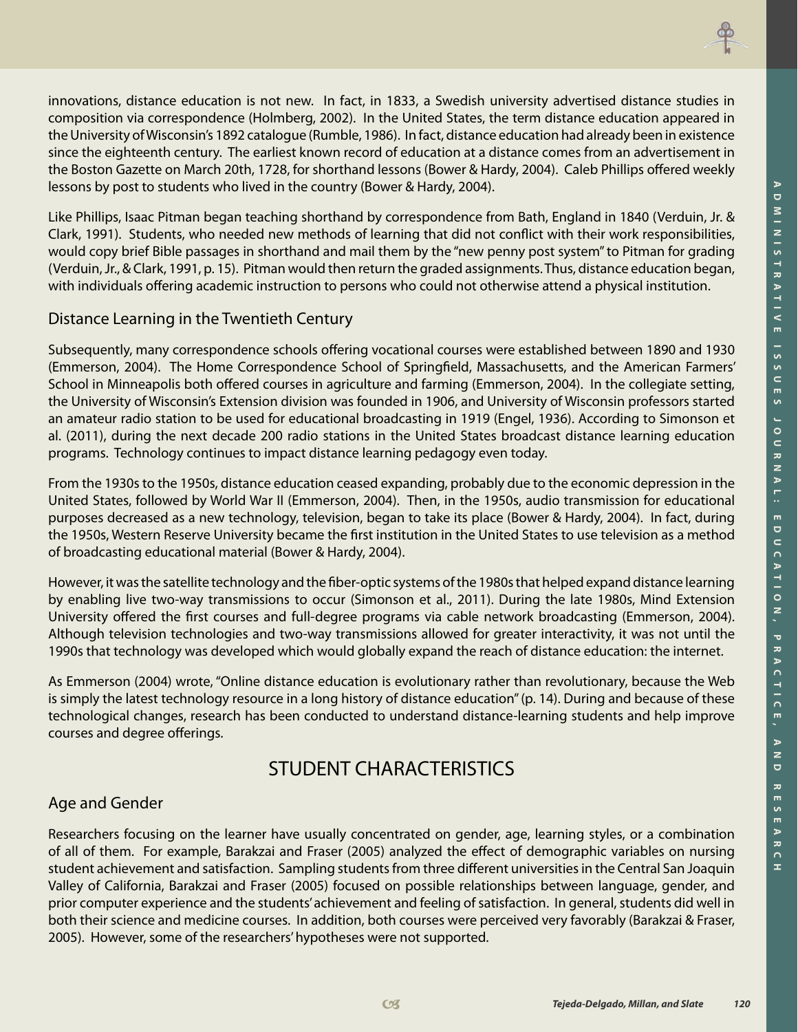



the University of Wisconsin's 1892 catalogue (Rumble, 1986). In fact, distance education had already been in existence since the eighteenth century. The earliest known record of education at a distance comes from an advertisement in the Boston Gazette on March 20th, 1728, for shorthand lessons (Bower & Hardy, 2004). Caleb Phillips offered weekly lessons by post to students who lived in the country (Bower & Hardy, 2004).

Like Phillips, Isaac Pitman began teaching shorthand by correspondence from Bath, England in 1840 (Verduin, Jr. & Clark, 1991). Students, who needed new methods of learning that did not conflict with their work responsibilities, would copy brief Bible passages in shorthand and mail them by the "new penny post system" to Pitman for grading (Verduin, Jr., & Clark, 1991, p. 15). Pitman would then return the graded assignments. Thus, distance education began, with individuals offering academic instruction to persons who could not otherwise attend a physical institution.

#### Distance Learning in the Twentieth Century

Subsequently, many correspondence schools offering vocational courses were established between 1890 and 1930 (Emmerson, 2004). The Home Correspondence School of Springfield, Massachusetts, and the American Farmers' School in Minneapolis both offered courses in agriculture and farming (Emmerson, 2004). In the collegiate setting, the University of Wisconsin's Extension division was founded in 1906, and University of Wisconsin professors started an amateur radio station to be used for educational broadcasting in 1919 (Engel, 1936). According to Simonson et al. (2011), during the next decade 200 radio stations in the United States broadcast distance learning education programs. Technology continues to impact distance learning pedagogy even today.

From the 1930s to the 1950s, distance education ceased expanding, probably due to the economic depression in the United States, followed by World War II (Emmerson, 2004). Then, in the 1950s, audio transmission for educational purposes decreased as a new technology, television, began to take its place (Bower & Hardy, 2004). In fact, during the 1950s, Western Reserve University became the first institution in the United States to use television as a method of broadcasting educational material (Bower & Hardy, 2004).

However, it was the satellite technology and the fiber-optic systems of the 1980s that helped expand distance learning by enabling live two-way transmissions to occur (Simonson et al., 2011). During the late 1980s, Mind Extension University offered the first courses and full-degree programs via cable network broadcasting (Emmerson, 2004). Although television technologies and two-way transmissions allowed for greater interactivity, it was not until the 1990s that technology was developed which would globally expand the reach of distance education: the internet.

As Emmerson (2004) wrote, "Online distance education is evolutionary rather than revolutionary, because the Web is simply the latest technology resource in a long history of distance education" (p. 14). During and because of these technological changes, research has been conducted to understand distance-learning students and help improve courses and degree offerings.

## STUDENT CHARACTERISTICS

#### Age and Gender

Researchers focusing on the learner have usually concentrated on gender, age, learning styles, or a combination of all of them. For example, Barakzai and Fraser (2005) analyzed the effect of demographic variables on nursing student achievement and satisfaction. Sampling students from three different universities in the Central San Joaquin Valley of California, Barakzai and Fraser (2005) focused on possible relationships between language, gender, and prior computer experience and the students' achievement and feeling of satisfaction. In general, students did well in both their science and medicine courses. In addition, both courses were perceived very favorably (Barakzai & Fraser, 2005). However, some of the researchers' hypotheses were not supported.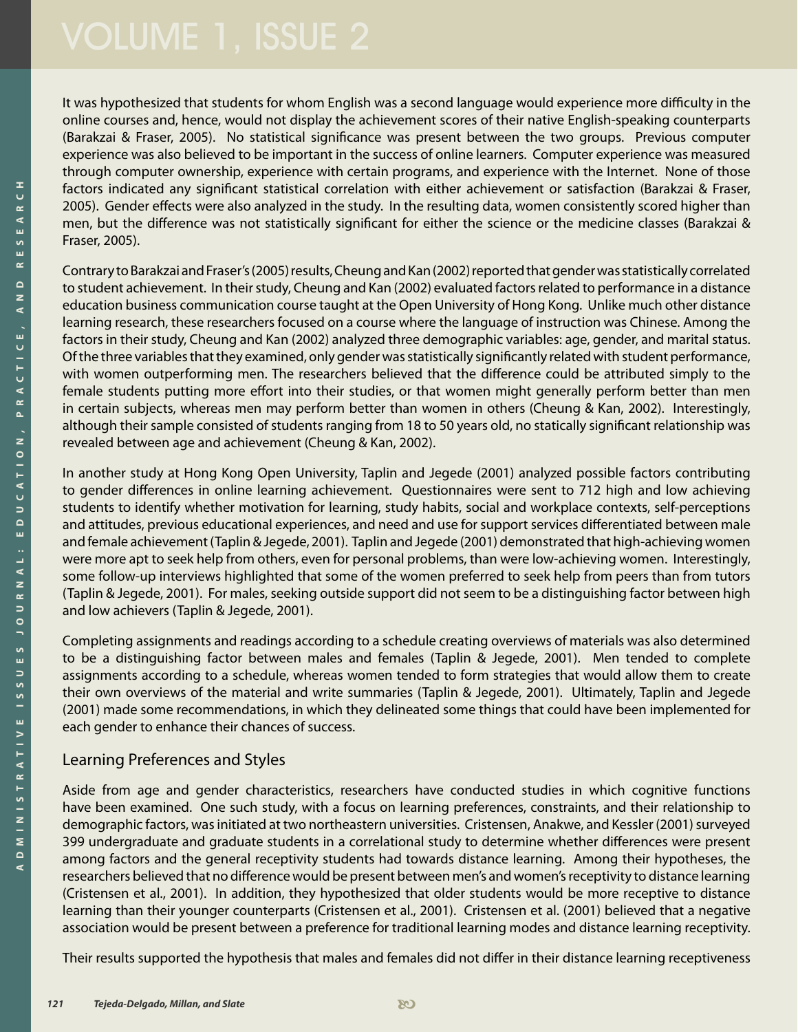It was hypothesized that students for whom English was a second language would experience more difficulty in the online courses and, hence, would not display the achievement scores of their native English-speaking counterparts (Barakzai & Fraser, 2005). No statistical significance was present between the two groups. Previous computer experience was also believed to be important in the success of online learners. Computer experience was measured through computer ownership, experience with certain programs, and experience with the Internet. None of those factors indicated any significant statistical correlation with either achievement or satisfaction (Barakzai & Fraser, 2005). Gender effects were also analyzed in the study. In the resulting data, women consistently scored higher than men, but the difference was not statistically significant for either the science or the medicine classes (Barakzai & Fraser, 2005).

Contrary to Barakzai and Fraser's (2005) results, Cheung and Kan (2002) reported that gender was statistically correlated to student achievement. In their study, Cheung and Kan (2002) evaluated factors related to performance in a distance education business communication course taught at the Open University of Hong Kong. Unlike much other distance learning research, these researchers focused on a course where the language of instruction was Chinese. Among the factors in their study, Cheung and Kan (2002) analyzed three demographic variables: age, gender, and marital status. Of the three variables that they examined, only gender was statistically significantly related with student performance, with women outperforming men. The researchers believed that the difference could be attributed simply to the female students putting more effort into their studies, or that women might generally perform better than men in certain subjects, whereas men may perform better than women in others (Cheung & Kan, 2002). Interestingly, although their sample consisted of students ranging from 18 to 50 years old, no statically significant relationship was revealed between age and achievement (Cheung & Kan, 2002).

In another study at Hong Kong Open University, Taplin and Jegede (2001) analyzed possible factors contributing to gender differences in online learning achievement. Questionnaires were sent to 712 high and low achieving students to identify whether motivation for learning, study habits, social and workplace contexts, self-perceptions and attitudes, previous educational experiences, and need and use for support services differentiated between male and female achievement (Taplin & Jegede, 2001). Taplin and Jegede (2001) demonstrated that high-achieving women were more apt to seek help from others, even for personal problems, than were low-achieving women. Interestingly, some follow-up interviews highlighted that some of the women preferred to seek help from peers than from tutors (Taplin & Jegede, 2001). For males, seeking outside support did not seem to be a distinguishing factor between high and low achievers (Taplin & Jegede, 2001).

Completing assignments and readings according to a schedule creating overviews of materials was also determined to be a distinguishing factor between males and females (Taplin & Jegede, 2001). Men tended to complete assignments according to a schedule, whereas women tended to form strategies that would allow them to create their own overviews of the material and write summaries (Taplin & Jegede, 2001). Ultimately, Taplin and Jegede (2001) made some recommendations, in which they delineated some things that could have been implemented for each gender to enhance their chances of success.

#### Learning Preferences and Styles

Aside from age and gender characteristics, researchers have conducted studies in which cognitive functions have been examined. One such study, with a focus on learning preferences, constraints, and their relationship to demographic factors, was initiated at two northeastern universities. Cristensen, Anakwe, and Kessler (2001) surveyed 399 undergraduate and graduate students in a correlational study to determine whether differences were present among factors and the general receptivity students had towards distance learning. Among their hypotheses, the researchers believed that no difference would be present between men's and women's receptivity to distance learning (Cristensen et al., 2001). In addition, they hypothesized that older students would be more receptive to distance learning than their younger counterparts (Cristensen et al., 2001). Cristensen et al. (2001) believed that a negative association would be present between a preference for traditional learning modes and distance learning receptivity.

Their results supported the hypothesis that males and females did not differ in their distance learning receptiveness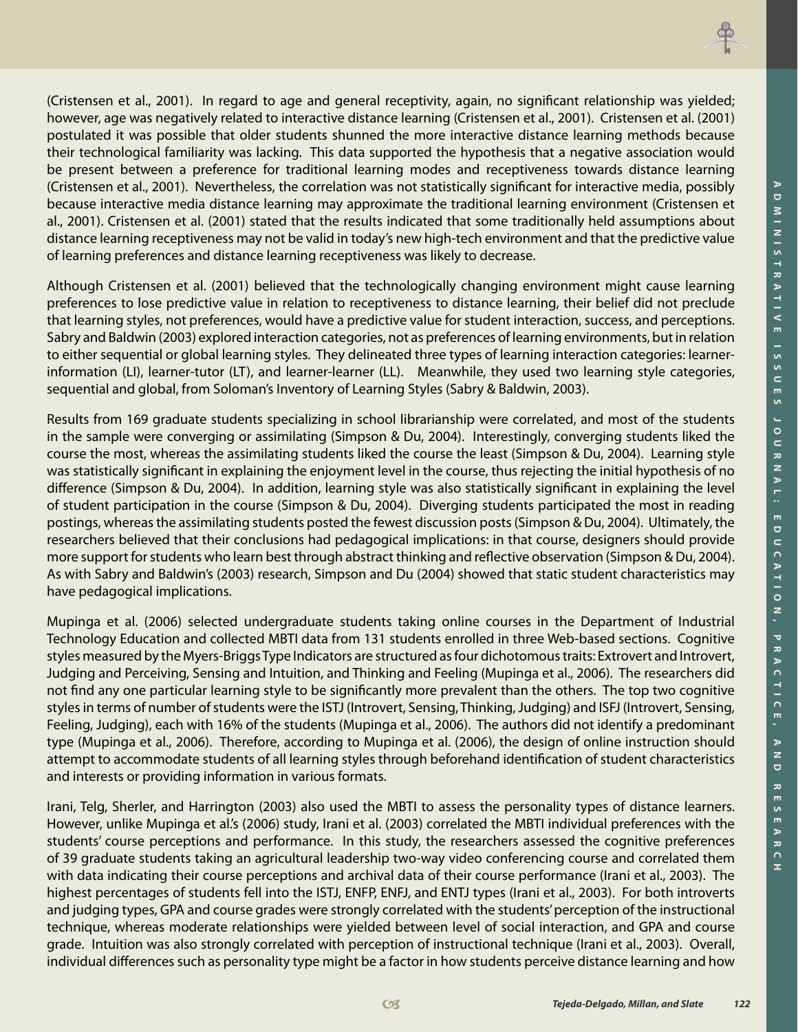(Cristensen et al., 2001). In regard to age and general receptivity, again, no significant relationship was yielded; however, age was negatively related to interactive distance learning (Cristensen et al., 2001). Cristensen et al. (2001) postulated it was possible that older students shunned the more interactive distance learning methods because their technological familiarity was lacking. This data supported the hypothesis that a negative association would be present between a preference for traditional learning modes and receptiveness towards distance learning (Cristensen et al., 2001). Nevertheless, the correlation was not statistically significant for interactive media, possibly because interactive media distance learning may approximate the traditional learning environment (Cristensen et al., 2001). Cristensen et al. (2001) stated that the results indicated that some traditionally held assumptions about distance learning receptiveness may not be valid in today's new high-tech environment and that the predictive value of learning preferences and distance learning receptiveness was likely to decrease.

Although Cristensen et al. (2001) believed that the technologically changing environment might cause learning preferences to lose predictive value in relation to receptiveness to distance learning, their belief did not preclude that learning styles, not preferences, would have a predictive value for student interaction, success, and perceptions. Sabry and Baldwin (2003) explored interaction categories, not as preferences of learning environments, but in relation to either sequential or global learning styles. They delineated three types of learning interaction categories: learnerinformation (LI), learner-tutor (LT), and learner-learner (LL). Meanwhile, they used two learning style categories, sequential and global, from Soloman's Inventory of Learning Styles (Sabry & Baldwin, 2003).

Results from 169 graduate students specializing in school librarianship were correlated, and most of the students in the sample were converging or assimilating (Simpson & Du, 2004). Interestingly, converging students liked the course the most, whereas the assimilating students liked the course the least (Simpson & Du, 2004). Learning style was statistically significant in explaining the enjoyment level in the course, thus rejecting the initial hypothesis of no difference (Simpson & Du, 2004). In addition, learning style was also statistically significant in explaining the level of student participation in the course (Simpson & Du, 2004). Diverging students participated the most in reading postings, whereas the assimilating students posted the fewest discussion posts (Simpson & Du, 2004). Ultimately, the researchers believed that their conclusions had pedagogical implications: in that course, designers should provide more support for students who learn best through abstract thinking and reflective observation (Simpson & Du, 2004). As with Sabry and Baldwin's (2003) research, Simpson and Du (2004) showed that static student characteristics may have pedagogical implications.

Mupinga et al. (2006) selected undergraduate students taking online courses in the Department of Industrial Technology Education and collected MBTI data from 131 students enrolled in three Web-based sections. Cognitive styles measured by the Myers-Briggs Type Indicators are structured as four dichotomous traits: Extrovert and Introvert, Judging and Perceiving, Sensing and Intuition, and Thinking and Feeling (Mupinga et al., 2006). The researchers did not find any one particular learning style to be significantly more prevalent than the others. The top two cognitive styles in terms of number of students were the ISTJ (Introvert, Sensing, Thinking, Judging) and ISFJ (Introvert, Sensing, Feeling, Judging), each with 16% of the students (Mupinga et al., 2006). The authors did not identify a predominant type (Mupinga et al., 2006). Therefore, according to Mupinga et al. (2006), the design of online instruction should attempt to accommodate students of all learning styles through beforehand identification of student characteristics and interests or providing information in various formats.

Irani, Telg, Sherler, and Harrington (2003) also used the MBTI to assess the personality types of distance learners. However, unlike Mupinga et al.'s (2006) study, Irani et al. (2003) correlated the MBTI individual preferences with the students' course perceptions and performance. In this study, the researchers assessed the cognitive preferences of 39 graduate students taking an agricultural leadership two-way video conferencing course and correlated them with data indicating their course perceptions and archival data of their course performance (Irani et al., 2003). The highest percentages of students fell into the ISTJ, ENFP, ENFJ, and ENTJ types (Irani et al., 2003). For both introverts and judging types, GPA and course grades were strongly correlated with the students' perception of the instructional technique, whereas moderate relationships were yielded between level of social interaction, and GPA and course grade. Intuition was also strongly correlated with perception of instructional technique (Irani et al., 2003). Overall, individual differences such as personality type might be a factor in how students perceive distance learning and how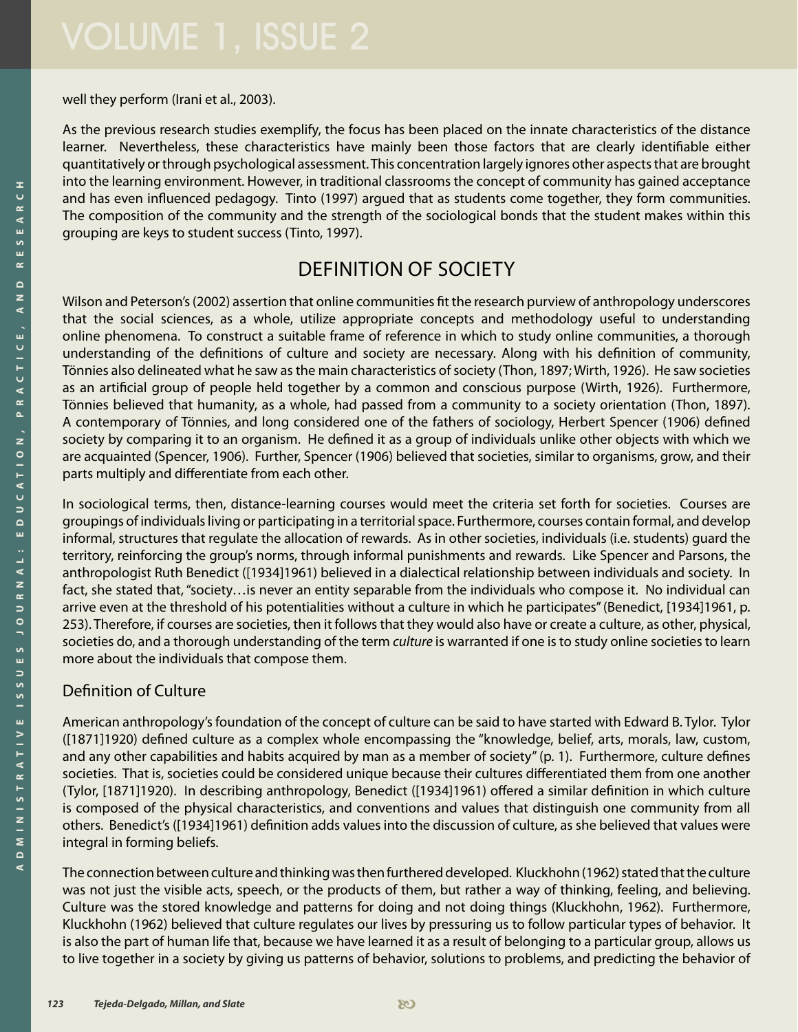well they perform (Irani et al., 2003).

As the previous research studies exemplify, the focus has been placed on the innate characteristics of the distance learner. Nevertheless, these characteristics have mainly been those factors that are clearly identifiable either quantitatively or through psychological assessment. This concentration largely ignores other aspects that are brought into the learning environment. However, in traditional classrooms the concept of community has gained acceptance and has even influenced pedagogy. Tinto (1997) argued that as students come together, they form communities. The composition of the community and the strength of the sociological bonds that the student makes within this grouping are keys to student success (Tinto, 1997).

## Definition of Society

Wilson and Peterson's (2002) assertion that online communities fit the research purview of anthropology underscores that the social sciences, as a whole, utilize appropriate concepts and methodology useful to understanding online phenomena. To construct a suitable frame of reference in which to study online communities, a thorough understanding of the definitions of culture and society are necessary. Along with his definition of community, Tönnies also delineated what he saw as the main characteristics of society (Thon, 1897; Wirth, 1926). He saw societies as an artificial group of people held together by a common and conscious purpose (Wirth, 1926). Furthermore, Tönnies believed that humanity, as a whole, had passed from a community to a society orientation (Thon, 1897). A contemporary of Tönnies, and long considered one of the fathers of sociology, Herbert Spencer (1906) defined society by comparing it to an organism. He defined it as a group of individuals unlike other objects with which we are acquainted (Spencer, 1906). Further, Spencer (1906) believed that societies, similar to organisms, grow, and their parts multiply and differentiate from each other.

In sociological terms, then, distance-learning courses would meet the criteria set forth for societies. Courses are groupings of individuals living or participating in a territorial space. Furthermore, courses contain formal, and develop informal, structures that regulate the allocation of rewards. As in other societies, individuals (i.e. students) guard the territory, reinforcing the group's norms, through informal punishments and rewards. Like Spencer and Parsons, the anthropologist Ruth Benedict ([1934]1961) believed in a dialectical relationship between individuals and society. In fact, she stated that, "society... is never an entity separable from the individuals who compose it. No individual can arrive even at the threshold of his potentialities without a culture in which he participates" (Benedict, [1934]1961, p. 253). Therefore, if courses are societies, then it follows that they would also have or create a culture, as other, physical, societies do, and a thorough understanding of the term *culture* is warranted if one is to study online societies to learn more about the individuals that compose them.

### Definition of Culture

American anthropology's foundation of the concept of culture can be said to have started with Edward B. Tylor. Tylor ([1871]1920) defined culture as a complex whole encompassing the "knowledge, belief, arts, morals, law, custom, and any other capabilities and habits acquired by man as a member of society" (p. 1). Furthermore, culture defines societies. That is, societies could be considered unique because their cultures differentiated them from one another (Tylor, [1871]1920). In describing anthropology, Benedict ([1934]1961) offered a similar definition in which culture is composed of the physical characteristics, and conventions and values that distinguish one community from all others. Benedict's ([1934]1961) definition adds values into the discussion of culture, as she believed that values were integral in forming beliefs.

The connection between culture and thinking was then furthered developed. Kluckhohn (1962) stated that the culture was not just the visible acts, speech, or the products of them, but rather a way of thinking, feeling, and believing. Culture was the stored knowledge and patterns for doing and not doing things (Kluckhohn, 1962). Furthermore, Kluckhohn (1962) believed that culture regulates our lives by pressuring us to follow particular types of behavior. It is also the part of human life that, because we have learned it as a result of belonging to a particular group, allows us to live together in a society by giving us patterns of behavior, solutions to problems, and predicting the behavior of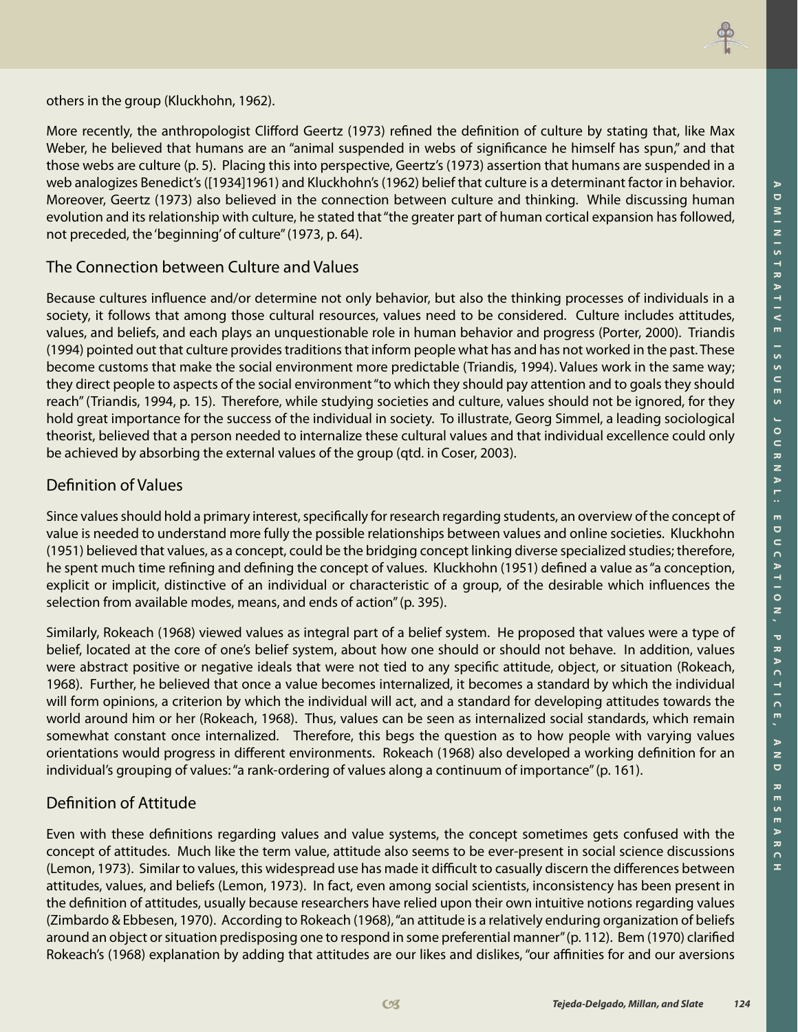

others in the group (Kluckhohn, 1962).

More recently, the anthropologist Clifford Geertz (1973) refined the definition of culture by stating that, like Max Weber, he believed that humans are an "animal suspended in webs of significance he himself has spun," and that those webs are culture (p. 5). Placing this into perspective, Geertz's (1973) assertion that humans are suspended in a web analogizes Benedict's ([1934]1961) and Kluckhohn's (1962) belief that culture is a determinant factor in behavior. Moreover, Geertz (1973) also believed in the connection between culture and thinking. While discussing human evolution and its relationship with culture, he stated that "the greater part of human cortical expansion has followed, not preceded, the 'beginning' of culture" (1973, p. 64).

#### The Connection between Culture and Values

Because cultures influence and/or determine not only behavior, but also the thinking processes of individuals in a society, it follows that among those cultural resources, values need to be considered. Culture includes attitudes, values, and beliefs, and each plays an unquestionable role in human behavior and progress (Porter, 2000). Triandis (1994) pointed out that culture provides traditions that inform people what has and has not worked in the past. These become customs that make the social environment more predictable (Triandis, 1994). Values work in the same way; they direct people to aspects of the social environment "to which they should pay attention and to goals they should reach" (Triandis, 1994, p. 15). Therefore, while studying societies and culture, values should not be ignored, for they hold great importance for the success of the individual in society. To illustrate, Georg Simmel, a leading sociological theorist, believed that a person needed to internalize these cultural values and that individual excellence could only be achieved by absorbing the external values of the group (qtd. in Coser, 2003).

#### Definition of Values

Since values should hold a primary interest, specifically for research regarding students, an overview of the concept of value is needed to understand more fully the possible relationships between values and online societies. Kluckhohn (1951) believed that values, as a concept, could be the bridging concept linking diverse specialized studies; therefore, he spent much time refining and defining the concept of values. Kluckhohn (1951) defined a value as "a conception, explicit or implicit, distinctive of an individual or characteristic of a group, of the desirable which influences the selection from available modes, means, and ends of action" (p. 395).

Similarly, Rokeach (1968) viewed values as integral part of a belief system. He proposed that values were a type of belief, located at the core of one's belief system, about how one should or should not behave. In addition, values were abstract positive or negative ideals that were not tied to any specific attitude, object, or situation (Rokeach, 1968). Further, he believed that once a value becomes internalized, it becomes a standard by which the individual will form opinions, a criterion by which the individual will act, and a standard for developing attitudes towards the world around him or her (Rokeach, 1968). Thus, values can be seen as internalized social standards, which remain somewhat constant once internalized. Therefore, this begs the question as to how people with varying values orientations would progress in different environments. Rokeach (1968) also developed a working definition for an individual's grouping of values: "a rank-ordering of values along a continuum of importance" (p. 161).

### Definition of Attitude

Even with these definitions regarding values and value systems, the concept sometimes gets confused with the concept of attitudes. Much like the term value, attitude also seems to be ever-present in social science discussions (Lemon, 1973). Similar to values, this widespread use has made it difficult to casually discern the differences between attitudes, values, and beliefs (Lemon, 1973). In fact, even among social scientists, inconsistency has been present in the definition of attitudes, usually because researchers have relied upon their own intuitive notions regarding values (Zimbardo & Ebbesen, 1970). According to Rokeach (1968), "an attitude is a relatively enduring organization of beliefs around an object or situation predisposing one to respond in some preferential manner" (p. 112). Bem (1970) clarified Rokeach's (1968) explanation by adding that attitudes are our likes and dislikes, "our affinities for and our aversions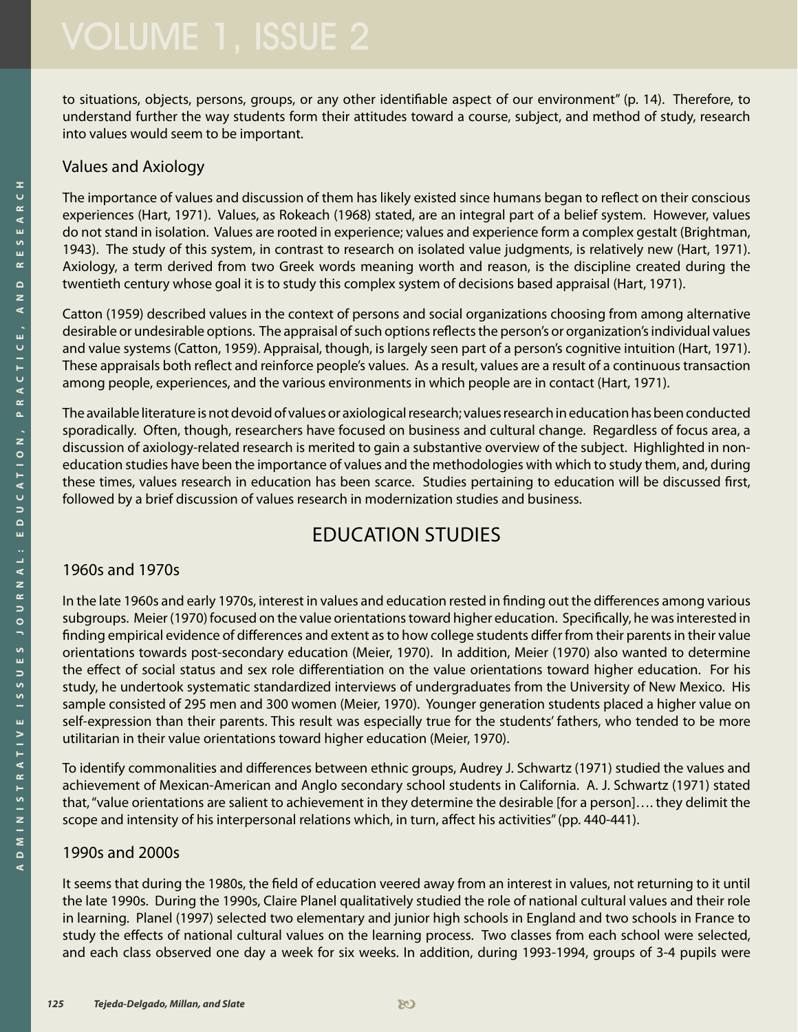to situations, objects, persons, groups, or any other identifiable aspect of our environment" (p. 14). Therefore, to understand further the way students form their attitudes toward a course, subject, and method of study, research into values would seem to be important.

#### Values and Axiology

The importance of values and discussion of them has likely existed since humans began to reflect on their conscious experiences (Hart, 1971). Values, as Rokeach (1968) stated, are an integral part of a belief system. However, values do not stand in isolation. Values are rooted in experience; values and experience form a complex gestalt (Brightman, 1943). The study of this system, in contrast to research on isolated value judgments, is relatively new (Hart, 1971). Axiology, a term derived from two Greek words meaning worth and reason, is the discipline created during the twentieth century whose goal it is to study this complex system of decisions based appraisal (Hart, 1971).

Catton (1959) described values in the context of persons and social organizations choosing from among alternative desirable or undesirable options. The appraisal of such options reflects the person's or organization's individual values and value systems (Catton, 1959). Appraisal, though, is largely seen part of a person's cognitive intuition (Hart, 1971). These appraisals both reflect and reinforce people's values. As a result, values are a result of a continuous transaction among people, experiences, and the various environments in which people are in contact (Hart, 1971).

The available literature is not devoid of values or axiological research; values research in education has been conducted sporadically. Often, though, researchers have focused on business and cultural change. Regardless of focus area, a discussion of axiology-related research is merited to gain a substantive overview of the subject. Highlighted in noneducation studies have been the importance of values and the methodologies with which to study them, and, during these times, values research in education has been scarce. Studies pertaining to education will be discussed first, followed by a brief discussion of values research in modernization studies and business.

## Education Studies

#### 1960s and 1970s

In the late 1960s and early 1970s, interest in values and education rested in finding out the differences among various subgroups. Meier (1970) focused on the value orientations toward higher education. Specifically, he was interested in finding empirical evidence of differences and extent as to how college students differ from their parents in their value orientations towards post-secondary education (Meier, 1970). In addition, Meier (1970) also wanted to determine the effect of social status and sex role differentiation on the value orientations toward higher education. For his study, he undertook systematic standardized interviews of undergraduates from the University of New Mexico. His sample consisted of 295 men and 300 women (Meier, 1970). Younger generation students placed a higher value on self-expression than their parents. This result was especially true for the students' fathers, who tended to be more utilitarian in their value orientations toward higher education (Meier, 1970).

To identify commonalities and differences between ethnic groups, Audrey J. Schwartz (1971) studied the values and achievement of Mexican-American and Anglo secondary school students in California. A. J. Schwartz (1971) stated that, "value orientations are salient to achievement in they determine the desirable [for a person]…. they delimit the scope and intensity of his interpersonal relations which, in turn, affect his activities" (pp. 440-441).

#### 1990s and 2000s

It seems that during the 1980s, the field of education veered away from an interest in values, not returning to it until the late 1990s. During the 1990s, Claire Planel qualitatively studied the role of national cultural values and their role in learning. Planel (1997) selected two elementary and junior high schools in England and two schools in France to study the effects of national cultural values on the learning process. Two classes from each school were selected, and each class observed one day a week for six weeks. In addition, during 1993-1994, groups of 3-4 pupils were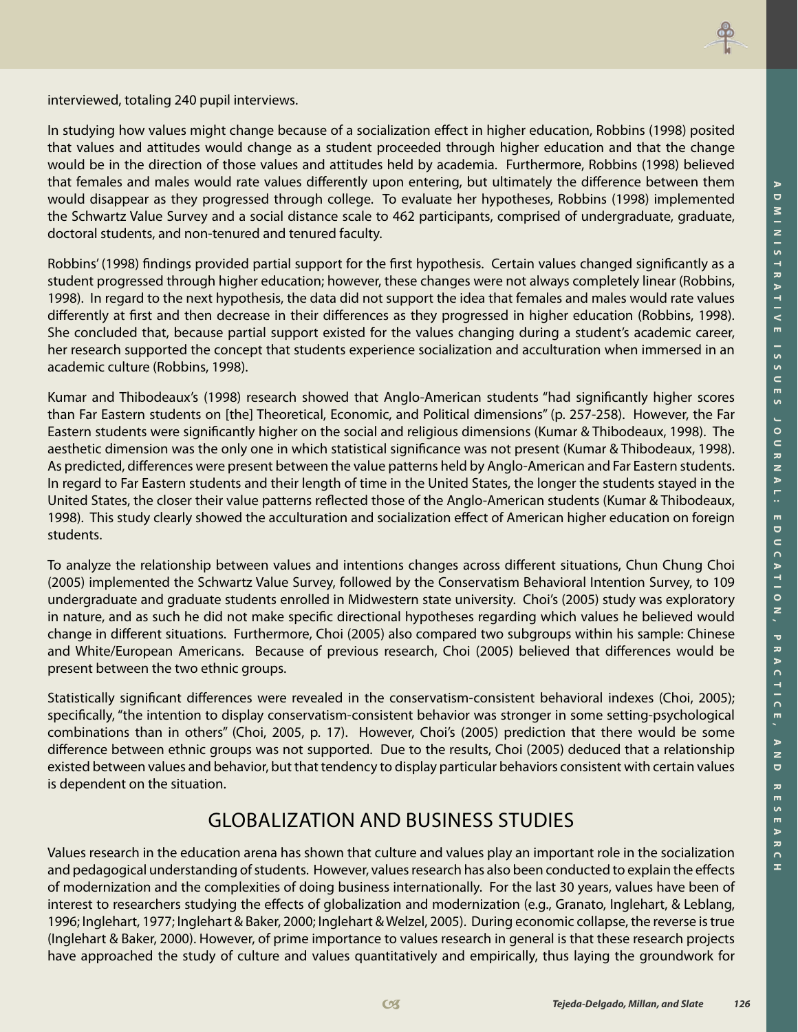

interviewed, totaling 240 pupil interviews.

In studying how values might change because of a socialization effect in higher education, Robbins (1998) posited that values and attitudes would change as a student proceeded through higher education and that the change would be in the direction of those values and attitudes held by academia. Furthermore, Robbins (1998) believed that females and males would rate values differently upon entering, but ultimately the difference between them would disappear as they progressed through college. To evaluate her hypotheses, Robbins (1998) implemented the Schwartz Value Survey and a social distance scale to 462 participants, comprised of undergraduate, graduate, doctoral students, and non-tenured and tenured faculty.

Robbins' (1998) findings provided partial support for the first hypothesis. Certain values changed significantly as a student progressed through higher education; however, these changes were not always completely linear (Robbins, 1998). In regard to the next hypothesis, the data did not support the idea that females and males would rate values differently at first and then decrease in their differences as they progressed in higher education (Robbins, 1998). She concluded that, because partial support existed for the values changing during a student's academic career, her research supported the concept that students experience socialization and acculturation when immersed in an academic culture (Robbins, 1998).

Kumar and Thibodeaux's (1998) research showed that Anglo-American students "had significantly higher scores than Far Eastern students on [the] Theoretical, Economic, and Political dimensions" (p. 257-258). However, the Far Eastern students were significantly higher on the social and religious dimensions (Kumar & Thibodeaux, 1998). The aesthetic dimension was the only one in which statistical significance was not present (Kumar & Thibodeaux, 1998). As predicted, differences were present between the value patterns held by Anglo-American and Far Eastern students. In regard to Far Eastern students and their length of time in the United States, the longer the students stayed in the United States, the closer their value patterns reflected those of the Anglo-American students (Kumar & Thibodeaux, 1998). This study clearly showed the acculturation and socialization effect of American higher education on foreign students.

To analyze the relationship between values and intentions changes across different situations, Chun Chung Choi (2005) implemented the Schwartz Value Survey, followed by the Conservatism Behavioral Intention Survey, to 109 undergraduate and graduate students enrolled in Midwestern state university. Choi's (2005) study was exploratory in nature, and as such he did not make specific directional hypotheses regarding which values he believed would change in different situations. Furthermore, Choi (2005) also compared two subgroups within his sample: Chinese and White/European Americans. Because of previous research, Choi (2005) believed that differences would be present between the two ethnic groups.

Statistically significant differences were revealed in the conservatism-consistent behavioral indexes (Choi, 2005); specifically, "the intention to display conservatism-consistent behavior was stronger in some setting-psychological combinations than in others" (Choi, 2005, p. 17). However, Choi's (2005) prediction that there would be some difference between ethnic groups was not supported. Due to the results, Choi (2005) deduced that a relationship existed between values and behavior, but that tendency to display particular behaviors consistent with certain values is dependent on the situation.

## Globalization and Business Studies

Values research in the education arena has shown that culture and values play an important role in the socialization and pedagogical understanding of students. However, values research has also been conducted to explain the effects of modernization and the complexities of doing business internationally. For the last 30 years, values have been of interest to researchers studying the effects of globalization and modernization (e.g., Granato, Inglehart, & Leblang, 1996; Inglehart, 1977; Inglehart & Baker, 2000; Inglehart & Welzel, 2005). During economic collapse, the reverse is true (Inglehart & Baker, 2000). However, of prime importance to values research in general is that these research projects have approached the study of culture and values quantitatively and empirically, thus laying the groundwork for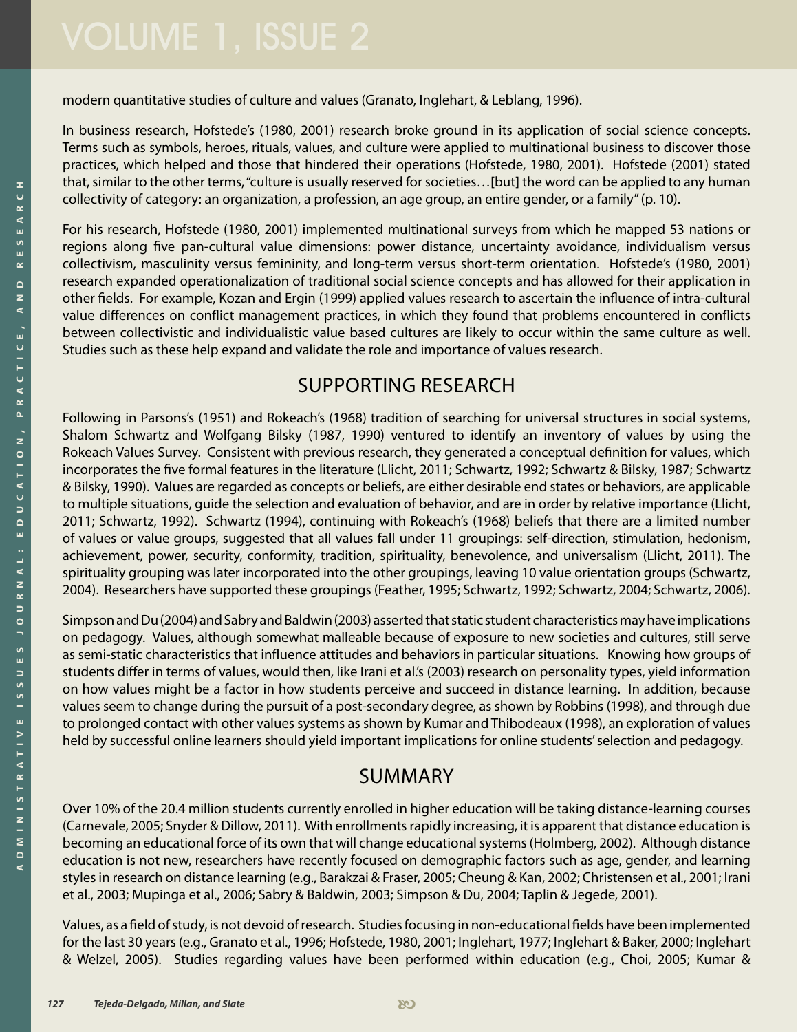modern quantitative studies of culture and values (Granato, Inglehart, & Leblang, 1996).

In business research, Hofstede's (1980, 2001) research broke ground in its application of social science concepts. Terms such as symbols, heroes, rituals, values, and culture were applied to multinational business to discover those practices, which helped and those that hindered their operations (Hofstede, 1980, 2001). Hofstede (2001) stated that, similar to the other terms, "culture is usually reserved for societies…[but] the word can be applied to any human collectivity of category: an organization, a profession, an age group, an entire gender, or a family" (p. 10).

For his research, Hofstede (1980, 2001) implemented multinational surveys from which he mapped 53 nations or regions along five pan-cultural value dimensions: power distance, uncertainty avoidance, individualism versus collectivism, masculinity versus femininity, and long-term versus short-term orientation. Hofstede's (1980, 2001) research expanded operationalization of traditional social science concepts and has allowed for their application in other fields. For example, Kozan and Ergin (1999) applied values research to ascertain the influence of intra-cultural value differences on conflict management practices, in which they found that problems encountered in conflicts between collectivistic and individualistic value based cultures are likely to occur within the same culture as well. Studies such as these help expand and validate the role and importance of values research.

## Supporting Research

Following in Parsons's (1951) and Rokeach's (1968) tradition of searching for universal structures in social systems, Shalom Schwartz and Wolfgang Bilsky (1987, 1990) ventured to identify an inventory of values by using the Rokeach Values Survey. Consistent with previous research, they generated a conceptual definition for values, which incorporates the five formal features in the literature (Llicht, 2011; Schwartz, 1992; Schwartz & Bilsky, 1987; Schwartz & Bilsky, 1990). Values are regarded as concepts or beliefs, are either desirable end states or behaviors, are applicable to multiple situations, guide the selection and evaluation of behavior, and are in order by relative importance (Llicht, 2011; Schwartz, 1992). Schwartz (1994), continuing with Rokeach's (1968) beliefs that there are a limited number of values or value groups, suggested that all values fall under 11 groupings: self-direction, stimulation, hedonism, achievement, power, security, conformity, tradition, spirituality, benevolence, and universalism (Llicht, 2011). The spirituality grouping was later incorporated into the other groupings, leaving 10 value orientation groups (Schwartz, 2004). Researchers have supported these groupings (Feather, 1995; Schwartz, 1992; Schwartz, 2004; Schwartz, 2006).

Simpson and Du (2004) and Sabry and Baldwin (2003) asserted that static student characteristics may have implications on pedagogy. Values, although somewhat malleable because of exposure to new societies and cultures, still serve as semi-static characteristics that influence attitudes and behaviors in particular situations. Knowing how groups of students differ in terms of values, would then, like Irani et al.'s (2003) research on personality types, yield information on how values might be a factor in how students perceive and succeed in distance learning. In addition, because values seem to change during the pursuit of a post-secondary degree, as shown by Robbins (1998), and through due to prolonged contact with other values systems as shown by Kumar and Thibodeaux (1998), an exploration of values held by successful online learners should yield important implications for online students' selection and pedagogy.

## **SUMMARY**

Over 10% of the 20.4 million students currently enrolled in higher education will be taking distance-learning courses (Carnevale, 2005; Snyder & Dillow, 2011). With enrollments rapidly increasing, it is apparent that distance education is becoming an educational force of its own that will change educational systems (Holmberg, 2002). Although distance education is not new, researchers have recently focused on demographic factors such as age, gender, and learning styles in research on distance learning (e.g., Barakzai & Fraser, 2005; Cheung & Kan, 2002; Christensen et al., 2001; Irani et al., 2003; Mupinga et al., 2006; Sabry & Baldwin, 2003; Simpson & Du, 2004; Taplin & Jegede, 2001).

Values, as a field of study, is not devoid of research. Studies focusing in non-educational fields have been implemented for the last 30 years (e.g., Granato et al., 1996; Hofstede, 1980, 2001; Inglehart, 1977; Inglehart & Baker, 2000; Inglehart & Welzel, 2005). Studies regarding values have been performed within education (e.g., Choi, 2005; Kumar &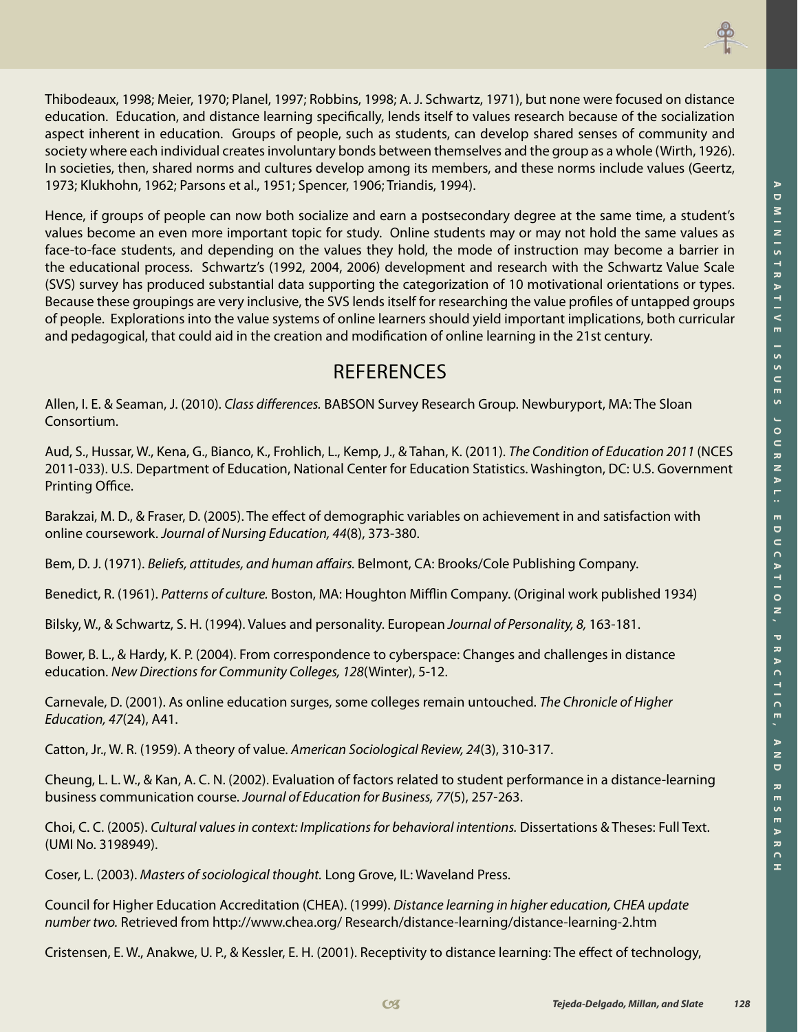

Thibodeaux, 1998; Meier, 1970; Planel, 1997; Robbins, 1998; A. J. Schwartz, 1971), but none were focused on distance education. Education, and distance learning specifically, lends itself to values research because of the socialization aspect inherent in education. Groups of people, such as students, can develop shared senses of community and society where each individual creates involuntary bonds between themselves and the group as a whole (Wirth, 1926). In societies, then, shared norms and cultures develop among its members, and these norms include values (Geertz, 1973; Klukhohn, 1962; Parsons et al., 1951; Spencer, 1906; Triandis, 1994).

Hence, if groups of people can now both socialize and earn a postsecondary degree at the same time, a student's values become an even more important topic for study. Online students may or may not hold the same values as face-to-face students, and depending on the values they hold, the mode of instruction may become a barrier in the educational process. Schwartz's (1992, 2004, 2006) development and research with the Schwartz Value Scale (SVS) survey has produced substantial data supporting the categorization of 10 motivational orientations or types. Because these groupings are very inclusive, the SVS lends itself for researching the value profiles of untapped groups of people. Explorations into the value systems of online learners should yield important implications, both curricular and pedagogical, that could aid in the creation and modification of online learning in the 21st century.

## References

Allen, I. E. & Seaman, J. (2010). *Class differences.* BABSON Survey Research Group. Newburyport, MA: The Sloan Consortium.

Aud, S., Hussar, W., Kena, G., Bianco, K., Frohlich, L., Kemp, J., & Tahan, K. (2011). *The Condition of Education 2011* (NCES 2011-033). U.S. Department of Education, National Center for Education Statistics. Washington, DC: U.S. Government Printing Office.

Barakzai, M. D., & Fraser, D. (2005). The effect of demographic variables on achievement in and satisfaction with online coursework. *Journal of Nursing Education, 44*(8), 373-380.

Bem, D. J. (1971). *Beliefs, attitudes, and human affairs.* Belmont, CA: Brooks/Cole Publishing Company.

Benedict, R. (1961). *Patterns of culture.* Boston, MA: Houghton Mifflin Company. (Original work published 1934)

Bilsky, W., & Schwartz, S. H. (1994). Values and personality. European *Journal of Personality, 8,* 163-181.

Bower, B. L., & Hardy, K. P. (2004). From correspondence to cyberspace: Changes and challenges in distance education. *New Directions for Community Colleges, 128*(Winter), 5-12.

Carnevale, D. (2001). As online education surges, some colleges remain untouched. *The Chronicle of Higher Education, 47*(24), A41.

Catton, Jr., W. R. (1959). A theory of value. *American Sociological Review, 24*(3), 310-317.

Cheung, L. L. W., & Kan, A. C. N. (2002). Evaluation of factors related to student performance in a distance-learning business communication course. *Journal of Education for Business, 77*(5), 257-263.

Choi, C. C. (2005). *Cultural values in context: Implications for behavioral intentions.* Dissertations & Theses: Full Text. (UMI No. 3198949).

Coser, L. (2003). *Masters of sociological thought.* Long Grove, IL: Waveland Press.

Council for Higher Education Accreditation (CHEA). (1999). *Distance learning in higher education, CHEA update number two.* Retrieved from http://www.chea.org/ Research/distance-learning/distance-learning-2.htm

Cristensen, E. W., Anakwe, U. P., & Kessler, E. H. (2001). Receptivity to distance learning: The effect of technology,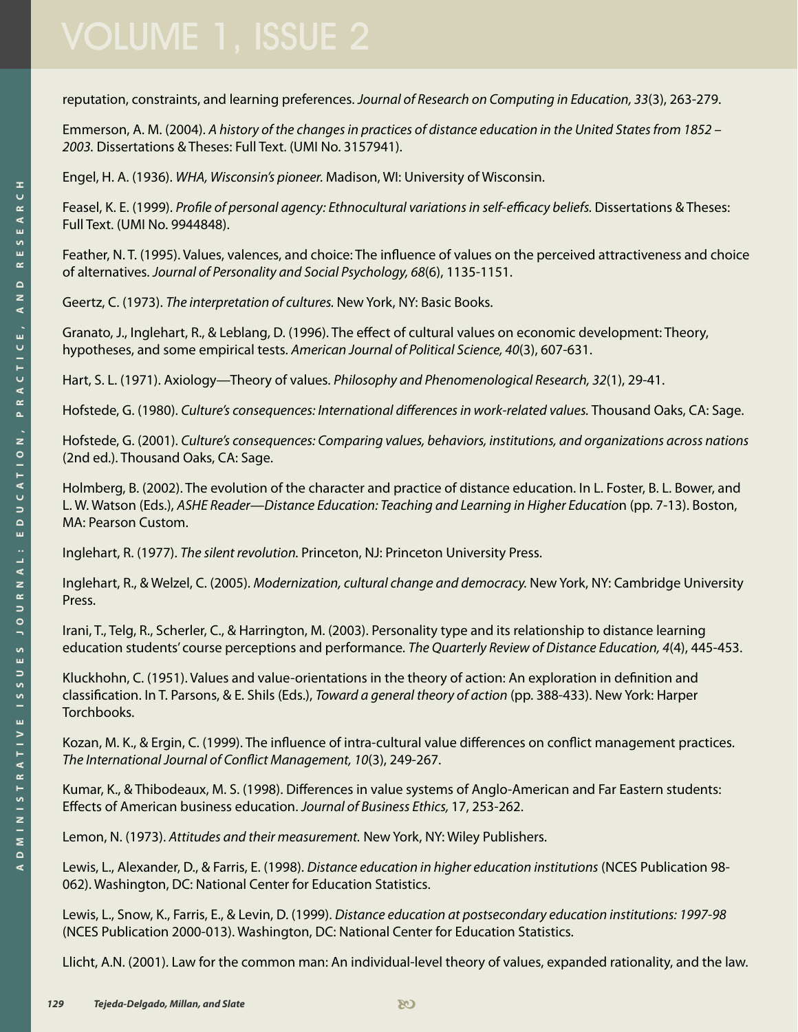reputation, constraints, and learning preferences. *Journal of Research on Computing in Education, 33*(3), 263-279.

Emmerson, A. M. (2004). *A history of the changes in practices of distance education in the United States from 1852 – 2003.* Dissertations & Theses: Full Text. (UMI No. 3157941).

Engel, H. A. (1936). *WHA, Wisconsin's pioneer.* Madison, WI: University of Wisconsin.

Feasel, K. E. (1999). *Profile of personal agency: Ethnocultural variations in self-efficacy beliefs.* Dissertations & Theses: Full Text. (UMI No. 9944848).

Feather, N. T. (1995). Values, valences, and choice: The influence of values on the perceived attractiveness and choice of alternatives. *Journal of Personality and Social Psychology, 68*(6), 1135-1151.

Geertz, C. (1973). *The interpretation of cultures.* New York, NY: Basic Books.

Granato, J., Inglehart, R., & Leblang, D. (1996). The effect of cultural values on economic development: Theory, hypotheses, and some empirical tests. *American Journal of Political Science, 40*(3), 607-631.

Hart, S. L. (1971). Axiology—Theory of values. *Philosophy and Phenomenological Research, 32*(1), 29-41.

Hofstede, G. (1980). *Culture's consequences: International differences in work-related values.* Thousand Oaks, CA: Sage.

Hofstede, G. (2001). *Culture's consequences: Comparing values, behaviors, institutions, and organizations across nations* (2nd ed.). Thousand Oaks, CA: Sage.

Holmberg, B. (2002). The evolution of the character and practice of distance education. In L. Foster, B. L. Bower, and L. W. Watson (Eds.), *ASHE Reader—Distance Education: Teaching and Learning in Higher Educatio*n (pp. 7-13). Boston, MA: Pearson Custom.

Inglehart, R. (1977). *The silent revolution.* Princeton, NJ: Princeton University Press.

Inglehart, R., & Welzel, C. (2005). *Modernization, cultural change and democracy.* New York, NY: Cambridge University Press.

Irani, T., Telg, R., Scherler, C., & Harrington, M. (2003). Personality type and its relationship to distance learning education students' course perceptions and performance. *The Quarterly Review of Distance Education, 4*(4), 445-453.

Kluckhohn, C. (1951). Values and value-orientations in the theory of action: An exploration in definition and classification. In T. Parsons, & E. Shils (Eds.), *Toward a general theory of action* (pp. 388-433). New York: Harper Torchbooks.

Kozan, M. K., & Ergin, C. (1999). The influence of intra-cultural value differences on conflict management practices. *The International Journal of Conflict Management, 10*(3), 249-267.

Kumar, K., & Thibodeaux, M. S. (1998). Differences in value systems of Anglo-American and Far Eastern students: Effects of American business education. *Journal of Business Ethics,* 17, 253-262.

Lemon, N. (1973). *Attitudes and their measurement.* New York, NY: Wiley Publishers.

Lewis, L., Alexander, D., & Farris, E. (1998). *Distance education in higher education institutions* (NCES Publication 98- 062). Washington, DC: National Center for Education Statistics.

Lewis, L., Snow, K., Farris, E., & Levin, D. (1999). *Distance education at postsecondary education institutions: 1997-98*  (NCES Publication 2000-013). Washington, DC: National Center for Education Statistics.

Llicht, A.N. (2001). Law for the common man: An individual-level theory of values, expanded rationality, and the law.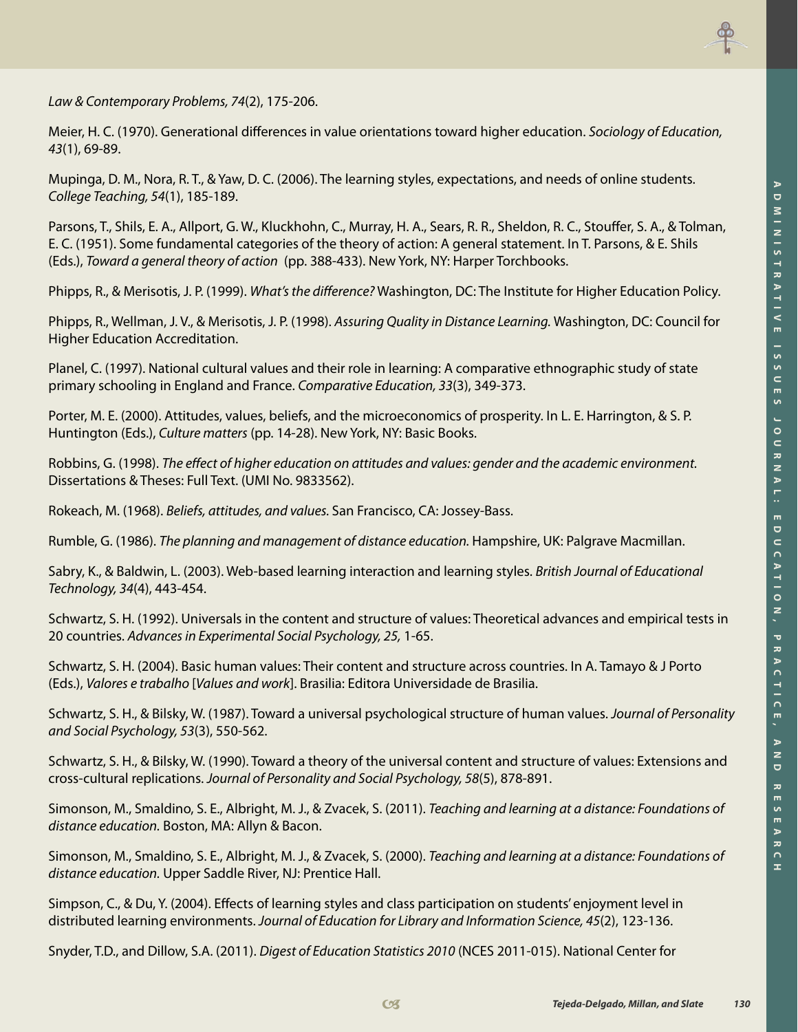

*Law & Contemporary Problems, 74*(2), 175-206.

Meier, H. C. (1970). Generational differences in value orientations toward higher education. *Sociology of Education, 43*(1), 69-89.

Mupinga, D. M., Nora, R. T., & Yaw, D. C. (2006). The learning styles, expectations, and needs of online students. *College Teaching, 54*(1), 185-189.

Parsons, T., Shils, E. A., Allport, G. W., Kluckhohn, C., Murray, H. A., Sears, R. R., Sheldon, R. C., Stouffer, S. A., & Tolman, E. C. (1951). Some fundamental categories of the theory of action: A general statement. In T. Parsons, & E. Shils (Eds.), *Toward a general theory of action* (pp. 388-433). New York, NY: Harper Torchbooks.

Phipps, R., & Merisotis, J. P. (1999). *What's the difference?* Washington, DC: The Institute for Higher Education Policy.

Phipps, R., Wellman, J. V., & Merisotis, J. P. (1998). *Assuring Quality in Distance Learning.* Washington, DC: Council for Higher Education Accreditation.

Planel, C. (1997). National cultural values and their role in learning: A comparative ethnographic study of state primary schooling in England and France. *Comparative Education, 33*(3), 349-373.

Porter, M. E. (2000). Attitudes, values, beliefs, and the microeconomics of prosperity. In L. E. Harrington, & S. P. Huntington (Eds.), *Culture matters* (pp. 14-28). New York, NY: Basic Books.

Robbins, G. (1998). *The effect of higher education on attitudes and values: gender and the academic environment.*  Dissertations & Theses: Full Text. (UMI No. 9833562).

Rokeach, M. (1968). *Beliefs, attitudes, and values.* San Francisco, CA: Jossey-Bass.

Rumble, G. (1986). *The planning and management of distance education.* Hampshire, UK: Palgrave Macmillan.

Sabry, K., & Baldwin, L. (2003). Web-based learning interaction and learning styles. *British Journal of Educational Technology, 34*(4), 443-454.

Schwartz, S. H. (1992). Universals in the content and structure of values: Theoretical advances and empirical tests in 20 countries. *Advances in Experimental Social Psychology, 25,* 1-65.

Schwartz, S. H. (2004). Basic human values: Their content and structure across countries. In A. Tamayo & J Porto (Eds.), *Valores e trabalho* [*Values and work*]. Brasilia: Editora Universidade de Brasilia.

Schwartz, S. H., & Bilsky, W. (1987). Toward a universal psychological structure of human values. *Journal of Personality and Social Psychology, 53*(3), 550-562.

Schwartz, S. H., & Bilsky, W. (1990). Toward a theory of the universal content and structure of values: Extensions and cross-cultural replications. *Journal of Personality and Social Psychology, 58*(5), 878-891.

Simonson, M., Smaldino, S. E., Albright, M. J., & Zvacek, S. (2011). *Teaching and learning at a distance: Foundations of distance education.* Boston, MA: Allyn & Bacon.

Simonson, M., Smaldino, S. E., Albright, M. J., & Zvacek, S. (2000). *Teaching and learning at a distance: Foundations of distance education.* Upper Saddle River, NJ: Prentice Hall.

Simpson, C., & Du, Y. (2004). Effects of learning styles and class participation on students' enjoyment level in distributed learning environments. *Journal of Education for Library and Information Science, 45*(2), 123-136.

Snyder, T.D., and Dillow, S.A. (2011). *Digest of Education Statistics 2010* (NCES 2011-015). National Center for